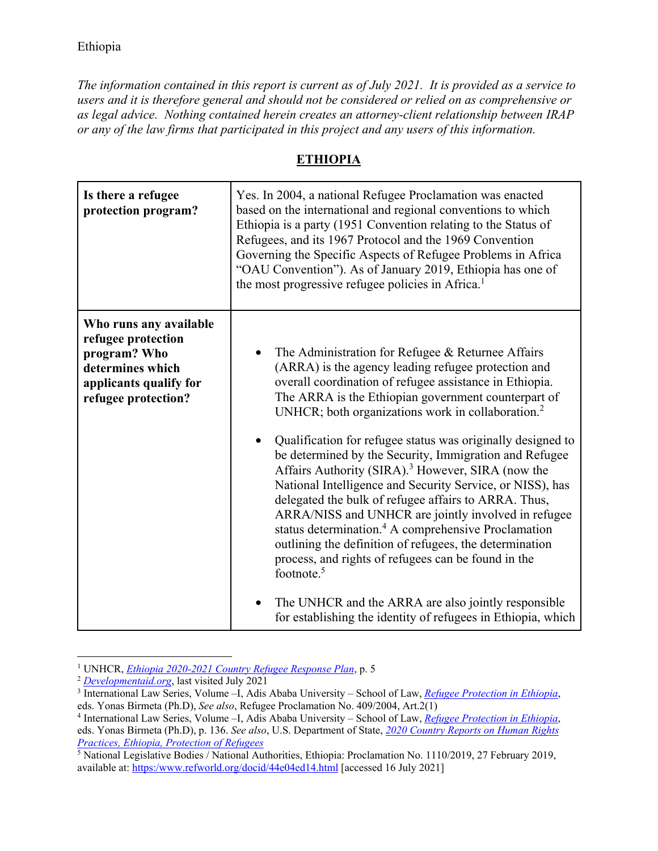*The information contained in this report is current as of July 2021. It is provided as a service to users and it is therefore general and should not be considered or relied on as comprehensive or as legal advice. Nothing contained herein creates an attorney-client relationship between IRAP or any of the law firms that participated in this project and any users of this information.* 

## **ETHIOPIA**

| Is there a refugee<br>protection program?                                                                                         | Yes. In 2004, a national Refugee Proclamation was enacted<br>based on the international and regional conventions to which<br>Ethiopia is a party (1951 Convention relating to the Status of<br>Refugees, and its 1967 Protocol and the 1969 Convention<br>Governing the Specific Aspects of Refugee Problems in Africa<br>"OAU Convention"). As of January 2019, Ethiopia has one of<br>the most progressive refugee policies in Africa. <sup>1</sup>                                                                                                                                                                                                                                                                                                                                                                                                                                                                                                                                                   |
|-----------------------------------------------------------------------------------------------------------------------------------|---------------------------------------------------------------------------------------------------------------------------------------------------------------------------------------------------------------------------------------------------------------------------------------------------------------------------------------------------------------------------------------------------------------------------------------------------------------------------------------------------------------------------------------------------------------------------------------------------------------------------------------------------------------------------------------------------------------------------------------------------------------------------------------------------------------------------------------------------------------------------------------------------------------------------------------------------------------------------------------------------------|
| Who runs any available<br>refugee protection<br>program? Who<br>determines which<br>applicants qualify for<br>refugee protection? | The Administration for Refugee & Returnee Affairs<br>(ARRA) is the agency leading refugee protection and<br>overall coordination of refugee assistance in Ethiopia.<br>The ARRA is the Ethiopian government counterpart of<br>UNHCR; both organizations work in collaboration. <sup>2</sup><br>Qualification for refugee status was originally designed to<br>be determined by the Security, Immigration and Refugee<br>Affairs Authority (SIRA). <sup>3</sup> However, SIRA (now the<br>National Intelligence and Security Service, or NISS), has<br>delegated the bulk of refugee affairs to ARRA. Thus,<br>ARRA/NISS and UNHCR are jointly involved in refugee<br>status determination. <sup>4</sup> A comprehensive Proclamation<br>outlining the definition of refugees, the determination<br>process, and rights of refugees can be found in the<br>footnote. <sup>5</sup><br>The UNHCR and the ARRA are also jointly responsible<br>for establishing the identity of refugees in Ethiopia, which |

 $\overline{a}$ <sup>1</sup> UNHCR, *<u>Ethiopia 2020-2021 Country Refugee Response Plan</u>, p. 5<br><sup>2</sup> <i><u>Developmentaid.org</u>*, last visited July 2021<br><sup>3</sup> International Law Series, Volume -L Adis Ababa University - Scho

<sup>&</sup>lt;sup>3</sup> International Law Series, Volume –I, Adis Ababa University – School of Law, *Refugee Protection in Ethiopia*, eds. Yonas Birmeta (Ph.D), *See also*, Refugee Proclamation No. 409/2004, Art.2(1) 4

International Law Series, Volume –I, Adis Ababa University – School of Law, *Refugee Protection in Ethiopia*, eds. Yonas Birmeta (Ph.D), p. 136. *See also*, U.S. Department of State, *2020 Country Reports on Human Rights Practices, Ethiopia, Protection of Refugees*

<sup>&</sup>lt;sup>5</sup> National Legislative Bodies / National Authorities, Ethiopia: Proclamation No. 1110/2019, 27 February 2019, available at: https:/www.refworld.org/docid/44e04ed14.html [accessed 16 July 2021]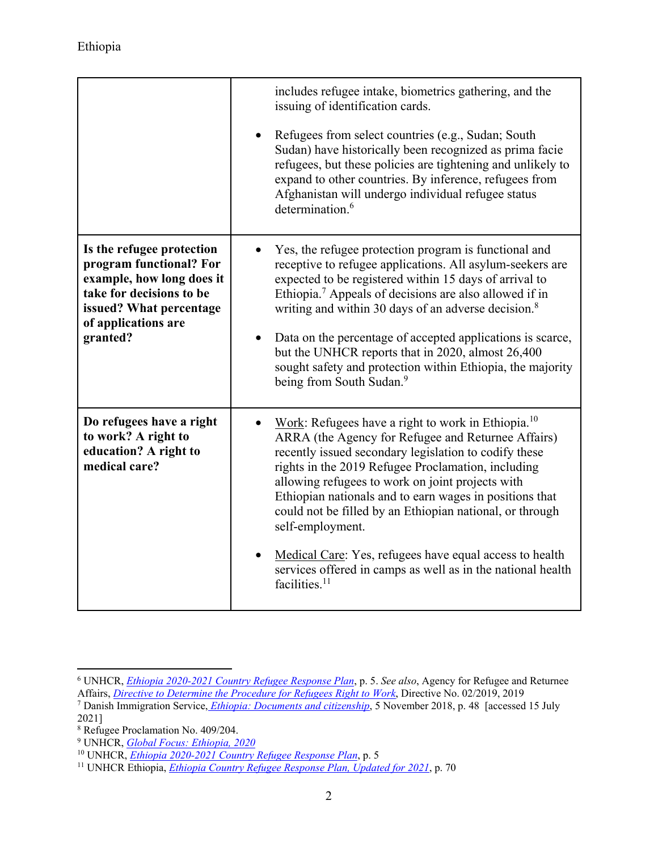|                                                                                                                                                                             | includes refugee intake, biometrics gathering, and the<br>issuing of identification cards.                                                                                                                                                                                                                                                                                                                                                                                                                                                                                       |
|-----------------------------------------------------------------------------------------------------------------------------------------------------------------------------|----------------------------------------------------------------------------------------------------------------------------------------------------------------------------------------------------------------------------------------------------------------------------------------------------------------------------------------------------------------------------------------------------------------------------------------------------------------------------------------------------------------------------------------------------------------------------------|
|                                                                                                                                                                             | Refugees from select countries (e.g., Sudan; South<br>Sudan) have historically been recognized as prima facie<br>refugees, but these policies are tightening and unlikely to<br>expand to other countries. By inference, refugees from<br>Afghanistan will undergo individual refugee status<br>determination. <sup>6</sup>                                                                                                                                                                                                                                                      |
| Is the refugee protection<br>program functional? For<br>example, how long does it<br>take for decisions to be<br>issued? What percentage<br>of applications are<br>granted? | Yes, the refugee protection program is functional and<br>receptive to refugee applications. All asylum-seekers are<br>expected to be registered within 15 days of arrival to<br>Ethiopia. <sup>7</sup> Appeals of decisions are also allowed if in<br>writing and within 30 days of an adverse decision. <sup>8</sup><br>Data on the percentage of accepted applications is scarce,<br>but the UNHCR reports that in 2020, almost 26,400<br>sought safety and protection within Ethiopia, the majority<br>being from South Sudan. <sup>9</sup>                                   |
| Do refugees have a right<br>to work? A right to<br>education? A right to<br>medical care?                                                                                   | Work: Refugees have a right to work in Ethiopia. <sup>10</sup><br>ARRA (the Agency for Refugee and Returnee Affairs)<br>recently issued secondary legislation to codify these<br>rights in the 2019 Refugee Proclamation, including<br>allowing refugees to work on joint projects with<br>Ethiopian nationals and to earn wages in positions that<br>could not be filled by an Ethiopian national, or through<br>self-employment.<br>Medical Care: Yes, refugees have equal access to health<br>services offered in camps as well as in the national health<br>facilities. $11$ |

 6 UNHCR, *Ethiopia 2020-2021 Country Refugee Response Plan*, p. 5. *See also*, Agency for Refugee and Returnee

Affairs, *Directive to Determine the Procedure for Refugees Right to Work*, Directive No. 02/2019, 2019<br><sup>7</sup> Danish Immigration Service<u>, Ethiopia: Documents and citizenship</u>, 5 November 2018, p. 48 [accessed 15 July 2021]

<sup>8</sup> Refugee Proclamation No. 409/204.

<sup>9</sup> UNHCR, *Global Focus: Ethiopia, 2020*

<sup>&</sup>lt;sup>10</sup> UNHCR, *<u>Ethiopia 2020-2021 Country Refugee Response Plan</u>, p. 5<br><sup>11</sup> UNHCR Ethiopia, <i><u>Ethiopia Country Refugee Response Plan, Updated for 2021*, p. 70</u>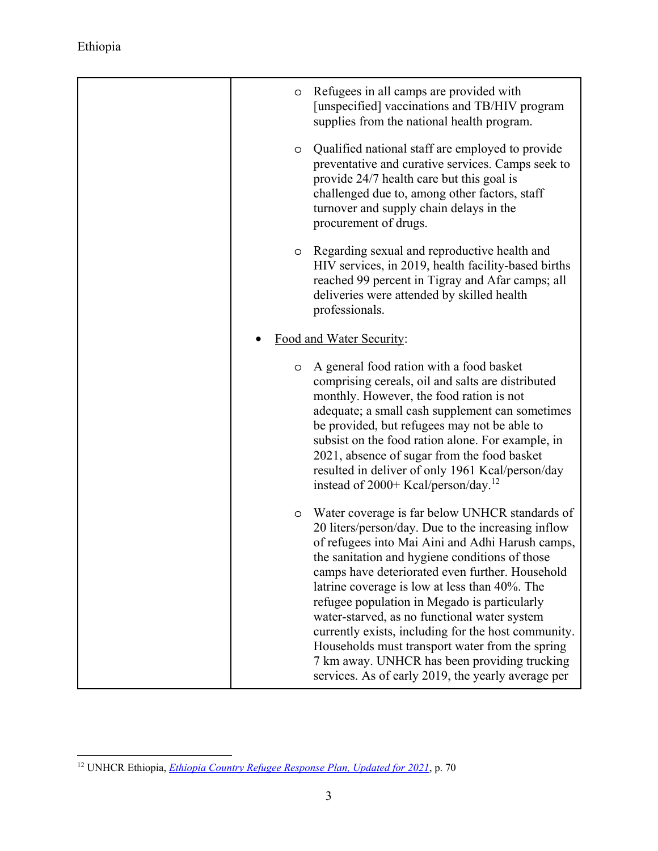| O | Refugees in all camps are provided with<br>[unspecified] vaccinations and TB/HIV program<br>supplies from the national health program.                                                                                                                                                                                                                                                                                                                                                                                                                                                                                         |
|---|--------------------------------------------------------------------------------------------------------------------------------------------------------------------------------------------------------------------------------------------------------------------------------------------------------------------------------------------------------------------------------------------------------------------------------------------------------------------------------------------------------------------------------------------------------------------------------------------------------------------------------|
| O | Qualified national staff are employed to provide<br>preventative and curative services. Camps seek to<br>provide 24/7 health care but this goal is<br>challenged due to, among other factors, staff<br>turnover and supply chain delays in the<br>procurement of drugs.                                                                                                                                                                                                                                                                                                                                                        |
| O | Regarding sexual and reproductive health and<br>HIV services, in 2019, health facility-based births<br>reached 99 percent in Tigray and Afar camps; all<br>deliveries were attended by skilled health<br>professionals.                                                                                                                                                                                                                                                                                                                                                                                                        |
|   | Food and Water Security:                                                                                                                                                                                                                                                                                                                                                                                                                                                                                                                                                                                                       |
| O | A general food ration with a food basket<br>comprising cereals, oil and salts are distributed<br>monthly. However, the food ration is not<br>adequate; a small cash supplement can sometimes<br>be provided, but refugees may not be able to<br>subsist on the food ration alone. For example, in<br>2021, absence of sugar from the food basket<br>resulted in deliver of only 1961 Kcal/person/day<br>instead of 2000+ Kcal/person/day. <sup>12</sup>                                                                                                                                                                        |
| O | Water coverage is far below UNHCR standards of<br>20 liters/person/day. Due to the increasing inflow<br>of refugees into Mai Aini and Adhi Harush camps,<br>the sanitation and hygiene conditions of those<br>camps have deteriorated even further. Household<br>latrine coverage is low at less than 40%. The<br>refugee population in Megado is particularly<br>water-starved, as no functional water system<br>currently exists, including for the host community.<br>Households must transport water from the spring<br>7 km away. UNHCR has been providing trucking<br>services. As of early 2019, the yearly average per |

 $\overline{a}$ 12 UNHCR Ethiopia, *Ethiopia Country Refugee Response Plan, Updated for 2021*, p. 70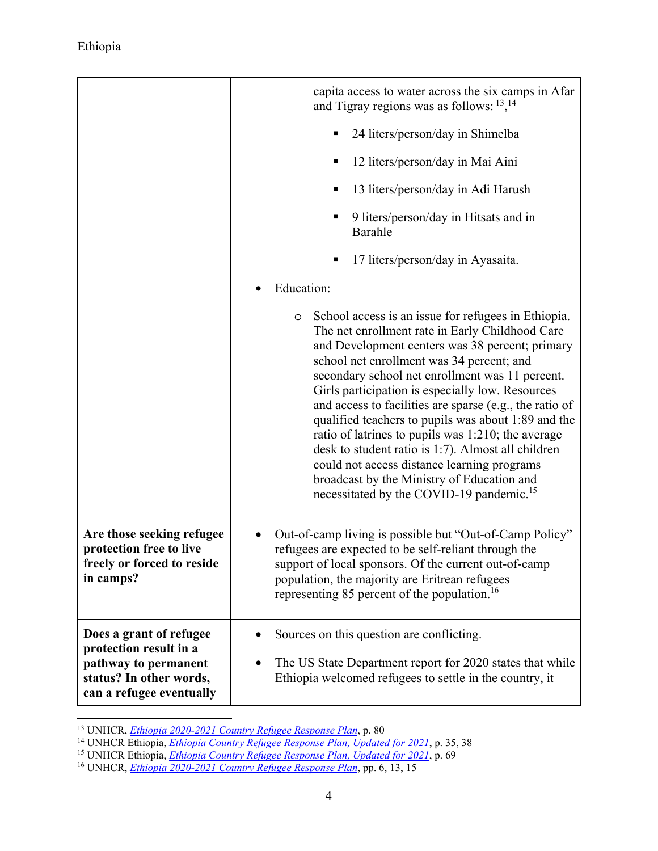$\overline{a}$ 

|                                                                                                                                  | capita access to water across the six camps in Afar<br>and Tigray regions was as follows: $13,14$                                                                                                                                                                                                                                                                                                                                                                                                                                                                                                                                                                                                     |
|----------------------------------------------------------------------------------------------------------------------------------|-------------------------------------------------------------------------------------------------------------------------------------------------------------------------------------------------------------------------------------------------------------------------------------------------------------------------------------------------------------------------------------------------------------------------------------------------------------------------------------------------------------------------------------------------------------------------------------------------------------------------------------------------------------------------------------------------------|
|                                                                                                                                  | 24 liters/person/day in Shimelba                                                                                                                                                                                                                                                                                                                                                                                                                                                                                                                                                                                                                                                                      |
|                                                                                                                                  | 12 liters/person/day in Mai Aini                                                                                                                                                                                                                                                                                                                                                                                                                                                                                                                                                                                                                                                                      |
|                                                                                                                                  | 13 liters/person/day in Adi Harush                                                                                                                                                                                                                                                                                                                                                                                                                                                                                                                                                                                                                                                                    |
|                                                                                                                                  | 9 liters/person/day in Hitsats and in<br>Barahle                                                                                                                                                                                                                                                                                                                                                                                                                                                                                                                                                                                                                                                      |
|                                                                                                                                  | 17 liters/person/day in Ayasaita.                                                                                                                                                                                                                                                                                                                                                                                                                                                                                                                                                                                                                                                                     |
|                                                                                                                                  | Education:                                                                                                                                                                                                                                                                                                                                                                                                                                                                                                                                                                                                                                                                                            |
|                                                                                                                                  | School access is an issue for refugees in Ethiopia.<br>O<br>The net enrollment rate in Early Childhood Care<br>and Development centers was 38 percent; primary<br>school net enrollment was 34 percent; and<br>secondary school net enrollment was 11 percent.<br>Girls participation is especially low. Resources<br>and access to facilities are sparse (e.g., the ratio of<br>qualified teachers to pupils was about 1:89 and the<br>ratio of latrines to pupils was 1:210; the average<br>desk to student ratio is 1:7). Almost all children<br>could not access distance learning programs<br>broadcast by the Ministry of Education and<br>necessitated by the COVID-19 pandemic. <sup>15</sup> |
| Are those seeking refugee<br>protection free to live<br>freely or forced to reside<br>in camps?                                  | Out-of-camp living is possible but "Out-of-Camp Policy"<br>refugees are expected to be self-reliant through the<br>support of local sponsors. Of the current out-of-camp<br>population, the majority are Eritrean refugees<br>representing 85 percent of the population. <sup>16</sup>                                                                                                                                                                                                                                                                                                                                                                                                                |
| Does a grant of refugee<br>protection result in a<br>pathway to permanent<br>status? In other words,<br>can a refugee eventually | Sources on this question are conflicting.<br>The US State Department report for 2020 states that while<br>Ethiopia welcomed refugees to settle in the country, it                                                                                                                                                                                                                                                                                                                                                                                                                                                                                                                                     |

<sup>&</sup>lt;sup>13</sup> UNHCR, *Ethiopia 2020-2021 Country Refugee Response Plan*, p. 80<br><sup>14</sup> UNHCR Ethiopia, *Ethiopia Country Refugee Response Plan, Updated for 2021*, p. 35, 38<br><sup>15</sup> UNHCR Ethiopia, *Ethiopia Country Refugee Response Plan,*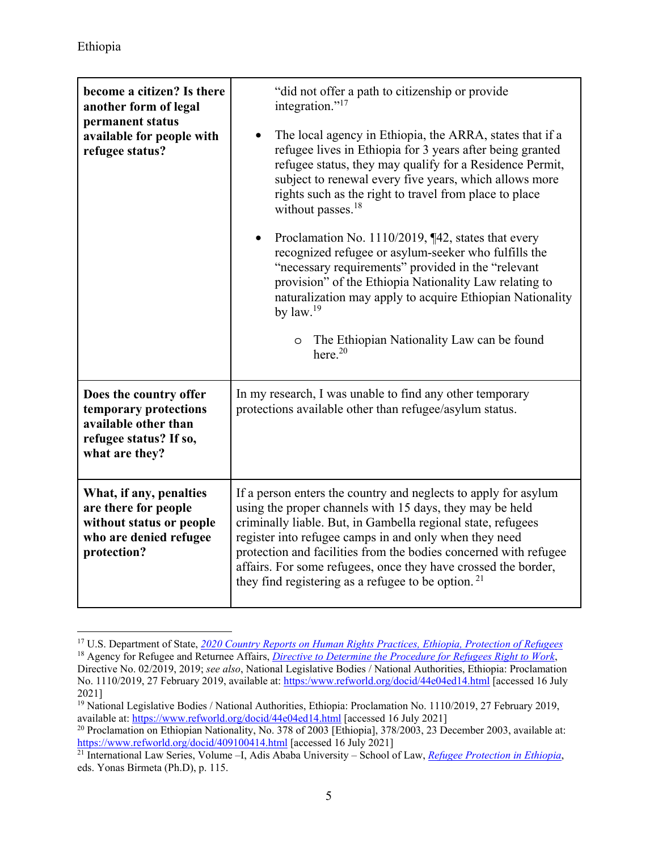$\overline{a}$ 

| become a citizen? Is there<br>another form of legal<br>permanent status<br>available for people with<br>refugee status? | "did not offer a path to citizenship or provide<br>integration." <sup>17</sup><br>The local agency in Ethiopia, the ARRA, states that if a<br>refugee lives in Ethiopia for 3 years after being granted<br>refugee status, they may qualify for a Residence Permit,<br>subject to renewal every five years, which allows more<br>rights such as the right to travel from place to place<br>without passes. <sup>18</sup><br>Proclamation No. $1110/2019$ , $\P$ 42, states that every<br>$\bullet$<br>recognized refugee or asylum-seeker who fulfills the<br>"necessary requirements" provided in the "relevant<br>provision" of the Ethiopia Nationality Law relating to<br>naturalization may apply to acquire Ethiopian Nationality<br>by $law.19$<br>The Ethiopian Nationality Law can be found<br>$\circ$<br>here. <sup>20</sup> |
|-------------------------------------------------------------------------------------------------------------------------|----------------------------------------------------------------------------------------------------------------------------------------------------------------------------------------------------------------------------------------------------------------------------------------------------------------------------------------------------------------------------------------------------------------------------------------------------------------------------------------------------------------------------------------------------------------------------------------------------------------------------------------------------------------------------------------------------------------------------------------------------------------------------------------------------------------------------------------|
| Does the country offer<br>temporary protections<br>available other than<br>refugee status? If so,<br>what are they?     | In my research, I was unable to find any other temporary<br>protections available other than refugee/asylum status.                                                                                                                                                                                                                                                                                                                                                                                                                                                                                                                                                                                                                                                                                                                    |
| What, if any, penalties<br>are there for people<br>without status or people<br>who are denied refugee<br>protection?    | If a person enters the country and neglects to apply for asylum<br>using the proper channels with 15 days, they may be held<br>criminally liable. But, in Gambella regional state, refugees<br>register into refugee camps in and only when they need<br>protection and facilities from the bodies concerned with refugee<br>affairs. For some refugees, once they have crossed the border,<br>they find registering as a refugee to be option. $21$                                                                                                                                                                                                                                                                                                                                                                                   |

<sup>17</sup> U.S. Department of State, *2020 Country Reports on Human Rights Practices, Ethiopia, Protection of Refugees* <sup>18</sup> Agency for Refugee and Returnee Affairs, *Directive to Determine the Procedure for Refugees Right to Work*,

Directive No. 02/2019, 2019; *see also*, National Legislative Bodies / National Authorities, Ethiopia: Proclamation No. 1110/2019, 27 February 2019, available at: https:/www.refworld.org/docid/44e04ed14.html [accessed 16 July 2021]

<sup>&</sup>lt;sup>19</sup> National Legislative Bodies / National Authorities, Ethiopia: Proclamation No. 1110/2019, 27 February 2019, available at: https://www.refworld.org/docid/44e04ed14.html [accessed 16 July 2021]

<sup>&</sup>lt;sup>20</sup> Proclamation on Ethiopian Nationality, No. 378 of 2003 [Ethiopia], 378/2003, 23 December 2003, available at: https://www.refworld.org/docid/409100414.html [accessed 16 July 2021] 21 International Law Series, Volume –I, Adis Ababa University – School of Law, *Refugee Protection in Ethiopia*,

eds. Yonas Birmeta (Ph.D), p. 115.